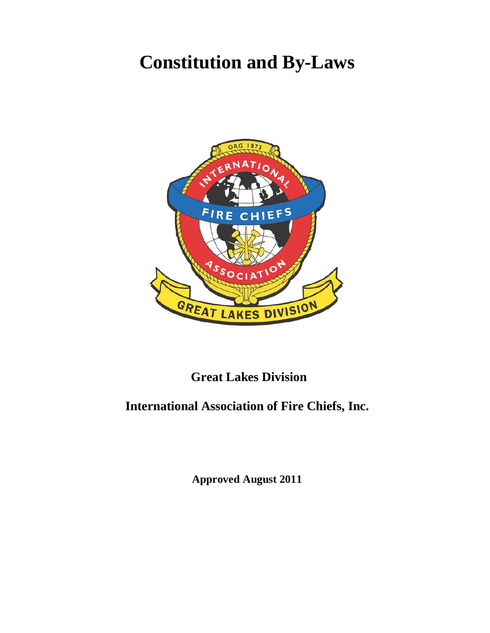# **Constitution and By-Laws**



## **Great Lakes Division**

## **International Association of Fire Chiefs, Inc.**

**Approved August 2011**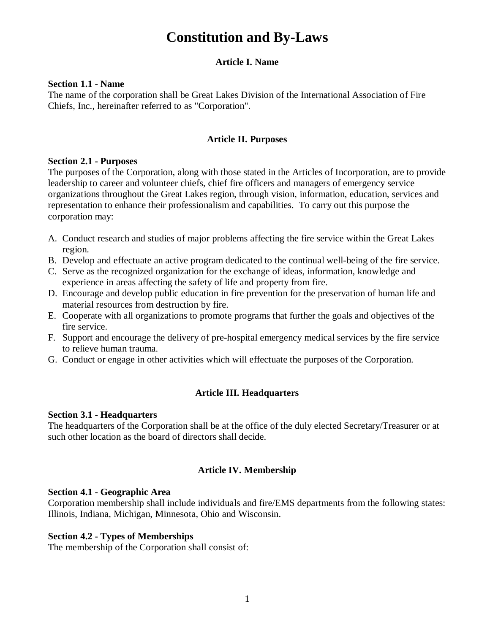## **Constitution and By-Laws**

## **Article I. Name**

#### **Section 1.1 - Name**

The name of the corporation shall be Great Lakes Division of the International Association of Fire Chiefs, Inc., hereinafter referred to as "Corporation".

## **Article II. Purposes**

#### **Section 2.1 - Purposes**

The purposes of the Corporation, along with those stated in the Articles of Incorporation, are to provide leadership to career and volunteer chiefs, chief fire officers and managers of emergency service organizations throughout the Great Lakes region, through vision, information, education, services and representation to enhance their professionalism and capabilities. To carry out this purpose the corporation may:

- A. Conduct research and studies of major problems affecting the fire service within the Great Lakes region.
- B. Develop and effectuate an active program dedicated to the continual well-being of the fire service.
- C. Serve as the recognized organization for the exchange of ideas, information, knowledge and experience in areas affecting the safety of life and property from fire.
- D. Encourage and develop public education in fire prevention for the preservation of human life and material resources from destruction by fire.
- E. Cooperate with all organizations to promote programs that further the goals and objectives of the fire service.
- F. Support and encourage the delivery of pre-hospital emergency medical services by the fire service to relieve human trauma.
- G. Conduct or engage in other activities which will effectuate the purposes of the Corporation.

## **Article III. Headquarters**

## **Section 3.1 - Headquarters**

The headquarters of the Corporation shall be at the office of the duly elected Secretary/Treasurer or at such other location as the board of directors shall decide.

## **Article IV. Membership**

## **Section 4.1 - Geographic Area**

Corporation membership shall include individuals and fire/EMS departments from the following states: Illinois, Indiana, Michigan, Minnesota, Ohio and Wisconsin.

## **Section 4.2 - Types of Memberships**

The membership of the Corporation shall consist of: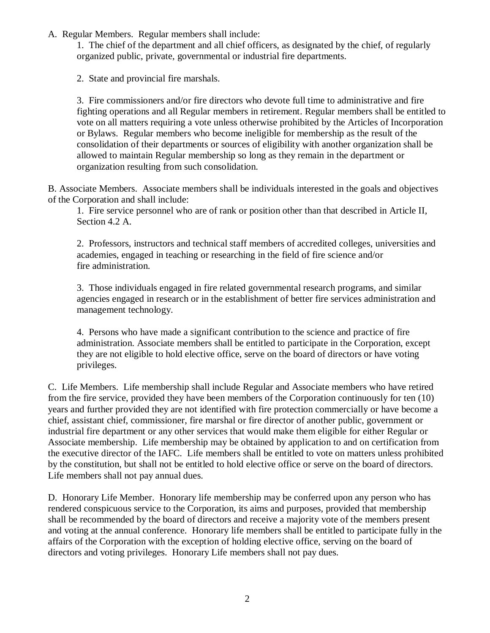A. Regular Members. Regular members shall include:

1. The chief of the department and all chief officers, as designated by the chief, of regularly organized public, private, governmental or industrial fire departments.

2. State and provincial fire marshals.

3. Fire commissioners and/or fire directors who devote full time to administrative and fire fighting operations and all Regular members in retirement. Regular members shall be entitled to vote on all matters requiring a vote unless otherwise prohibited by the Articles of Incorporation or Bylaws. Regular members who become ineligible for membership as the result of the consolidation of their departments or sources of eligibility with another organization shall be allowed to maintain Regular membership so long as they remain in the department or organization resulting from such consolidation.

B. Associate Members. Associate members shall be individuals interested in the goals and objectives of the Corporation and shall include:

1. Fire service personnel who are of rank or position other than that described in Article II, Section 4.2 A.

2. Professors, instructors and technical staff members of accredited colleges, universities and academies, engaged in teaching or researching in the field of fire science and/or fire administration.

3. Those individuals engaged in fire related governmental research programs, and similar agencies engaged in research or in the establishment of better fire services administration and management technology.

4. Persons who have made a significant contribution to the science and practice of fire administration. Associate members shall be entitled to participate in the Corporation, except they are not eligible to hold elective office, serve on the board of directors or have voting privileges.

C. Life Members. Life membership shall include Regular and Associate members who have retired from the fire service, provided they have been members of the Corporation continuously for ten (10) years and further provided they are not identified with fire protection commercially or have become a chief, assistant chief, commissioner, fire marshal or fire director of another public, government or industrial fire department or any other services that would make them eligible for either Regular or Associate membership. Life membership may be obtained by application to and on certification from the executive director of the IAFC. Life members shall be entitled to vote on matters unless prohibited by the constitution, but shall not be entitled to hold elective office or serve on the board of directors. Life members shall not pay annual dues.

D. Honorary Life Member. Honorary life membership may be conferred upon any person who has rendered conspicuous service to the Corporation, its aims and purposes, provided that membership shall be recommended by the board of directors and receive a majority vote of the members present and voting at the annual conference. Honorary life members shall be entitled to participate fully in the affairs of the Corporation with the exception of holding elective office, serving on the board of directors and voting privileges. Honorary Life members shall not pay dues.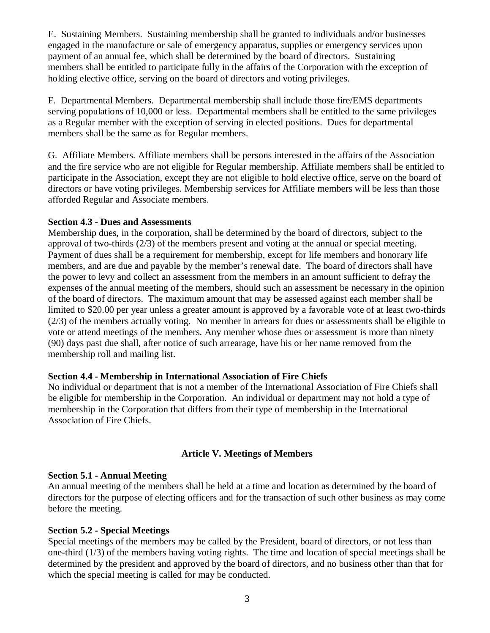E. Sustaining Members. Sustaining membership shall be granted to individuals and/or businesses engaged in the manufacture or sale of emergency apparatus, supplies or emergency services upon payment of an annual fee, which shall be determined by the board of directors. Sustaining members shall be entitled to participate fully in the affairs of the Corporation with the exception of holding elective office, serving on the board of directors and voting privileges.

F. Departmental Members. Departmental membership shall include those fire/EMS departments serving populations of 10,000 or less. Departmental members shall be entitled to the same privileges as a Regular member with the exception of serving in elected positions. Dues for departmental members shall be the same as for Regular members.

G. Affiliate Members. Affiliate members shall be persons interested in the affairs of the Association and the fire service who are not eligible for Regular membership. Affiliate members shall be entitled to participate in the Association, except they are not eligible to hold elective office, serve on the board of directors or have voting privileges. Membership services for Affiliate members will be less than those afforded Regular and Associate members.

#### **Section 4.3 - Dues and Assessments**

Membership dues, in the corporation, shall be determined by the board of directors, subject to the approval of two-thirds  $(2/3)$  of the members present and voting at the annual or special meeting. Payment of dues shall be a requirement for membership, except for life members and honorary life members, and are due and payable by the member's renewal date. The board of directors shall have the power to levy and collect an assessment from the members in an amount sufficient to defray the expenses of the annual meeting of the members, should such an assessment be necessary in the opinion of the board of directors. The maximum amount that may be assessed against each member shall be limited to \$20.00 per year unless a greater amount is approved by a favorable vote of at least two-thirds (2/3) of the members actually voting. No member in arrears for dues or assessments shall be eligible to vote or attend meetings of the members. Any member whose dues or assessment is more than ninety (90) days past due shall, after notice of such arrearage, have his or her name removed from the membership roll and mailing list.

## **Section 4.4 - Membership in International Association of Fire Chiefs**

No individual or department that is not a member of the International Association of Fire Chiefs shall be eligible for membership in the Corporation. An individual or department may not hold a type of membership in the Corporation that differs from their type of membership in the International Association of Fire Chiefs.

## **Article V. Meetings of Members**

#### **Section 5.1 - Annual Meeting**

An annual meeting of the members shall be held at a time and location as determined by the board of directors for the purpose of electing officers and for the transaction of such other business as may come before the meeting.

## **Section 5.2 - Special Meetings**

Special meetings of the members may be called by the President, board of directors, or not less than one-third (1/3) of the members having voting rights. The time and location of special meetings shall be determined by the president and approved by the board of directors, and no business other than that for which the special meeting is called for may be conducted.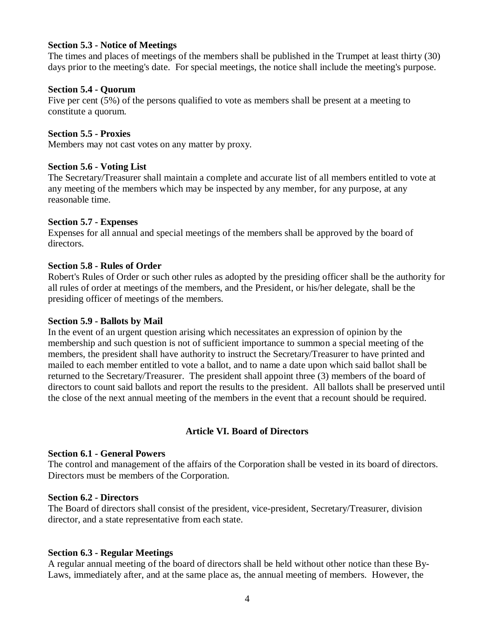#### **Section 5.3 - Notice of Meetings**

The times and places of meetings of the members shall be published in the Trumpet at least thirty (30) days prior to the meeting's date. For special meetings, the notice shall include the meeting's purpose.

#### **Section 5.4 - Quorum**

Five per cent (5%) of the persons qualified to vote as members shall be present at a meeting to constitute a quorum.

#### **Section 5.5 - Proxies**

Members may not cast votes on any matter by proxy.

#### **Section 5.6 - Voting List**

The Secretary/Treasurer shall maintain a complete and accurate list of all members entitled to vote at any meeting of the members which may be inspected by any member, for any purpose, at any reasonable time.

#### **Section 5.7 - Expenses**

Expenses for all annual and special meetings of the members shall be approved by the board of directors.

#### **Section 5.8 - Rules of Order**

Robert's Rules of Order or such other rules as adopted by the presiding officer shall be the authority for all rules of order at meetings of the members, and the President, or his/her delegate, shall be the presiding officer of meetings of the members.

#### **Section 5.9 - Ballots by Mail**

In the event of an urgent question arising which necessitates an expression of opinion by the membership and such question is not of sufficient importance to summon a special meeting of the members, the president shall have authority to instruct the Secretary/Treasurer to have printed and mailed to each member entitled to vote a ballot, and to name a date upon which said ballot shall be returned to the Secretary/Treasurer. The president shall appoint three (3) members of the board of directors to count said ballots and report the results to the president. All ballots shall be preserved until the close of the next annual meeting of the members in the event that a recount should be required.

#### **Article VI. Board of Directors**

#### **Section 6.1 - General Powers**

The control and management of the affairs of the Corporation shall be vested in its board of directors. Directors must be members of the Corporation.

#### **Section 6.2 - Directors**

The Board of directors shall consist of the president, vice-president, Secretary/Treasurer, division director, and a state representative from each state.

#### **Section 6.3 - Regular Meetings**

A regular annual meeting of the board of directors shall be held without other notice than these By-Laws, immediately after, and at the same place as, the annual meeting of members. However, the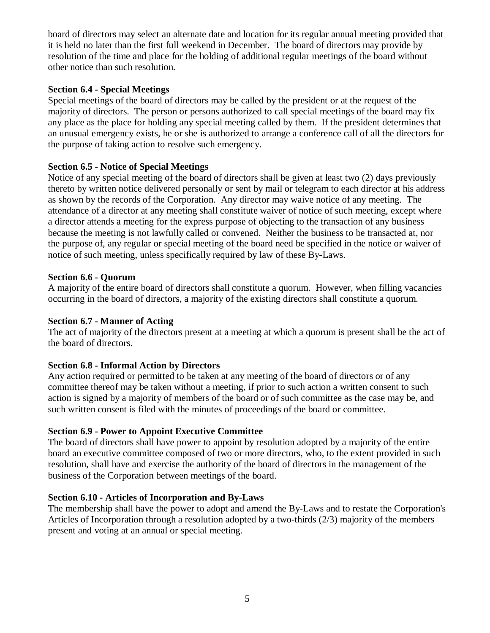board of directors may select an alternate date and location for its regular annual meeting provided that it is held no later than the first full weekend in December. The board of directors may provide by resolution of the time and place for the holding of additional regular meetings of the board without other notice than such resolution.

#### **Section 6.4 - Special Meetings**

Special meetings of the board of directors may be called by the president or at the request of the majority of directors. The person or persons authorized to call special meetings of the board may fix any place as the place for holding any special meeting called by them. If the president determines that an unusual emergency exists, he or she is authorized to arrange a conference call of all the directors for the purpose of taking action to resolve such emergency.

## **Section 6.5 - Notice of Special Meetings**

Notice of any special meeting of the board of directors shall be given at least two (2) days previously thereto by written notice delivered personally or sent by mail or telegram to each director at his address as shown by the records of the Corporation. Any director may waive notice of any meeting. The attendance of a director at any meeting shall constitute waiver of notice of such meeting, except where a director attends a meeting for the express purpose of objecting to the transaction of any business because the meeting is not lawfully called or convened. Neither the business to be transacted at, nor the purpose of, any regular or special meeting of the board need be specified in the notice or waiver of notice of such meeting, unless specifically required by law of these By-Laws.

#### **Section 6.6 - Quorum**

A majority of the entire board of directors shall constitute a quorum. However, when filling vacancies occurring in the board of directors, a majority of the existing directors shall constitute a quorum.

#### **Section 6.7 - Manner of Acting**

The act of majority of the directors present at a meeting at which a quorum is present shall be the act of the board of directors.

## **Section 6.8 - Informal Action by Directors**

Any action required or permitted to be taken at any meeting of the board of directors or of any committee thereof may be taken without a meeting, if prior to such action a written consent to such action is signed by a majority of members of the board or of such committee as the case may be, and such written consent is filed with the minutes of proceedings of the board or committee.

## **Section 6.9 - Power to Appoint Executive Committee**

The board of directors shall have power to appoint by resolution adopted by a majority of the entire board an executive committee composed of two or more directors, who, to the extent provided in such resolution, shall have and exercise the authority of the board of directors in the management of the business of the Corporation between meetings of the board.

#### **Section 6.10 - Articles of Incorporation and By-Laws**

The membership shall have the power to adopt and amend the By-Laws and to restate the Corporation's Articles of Incorporation through a resolution adopted by a two-thirds (2/3) majority of the members present and voting at an annual or special meeting.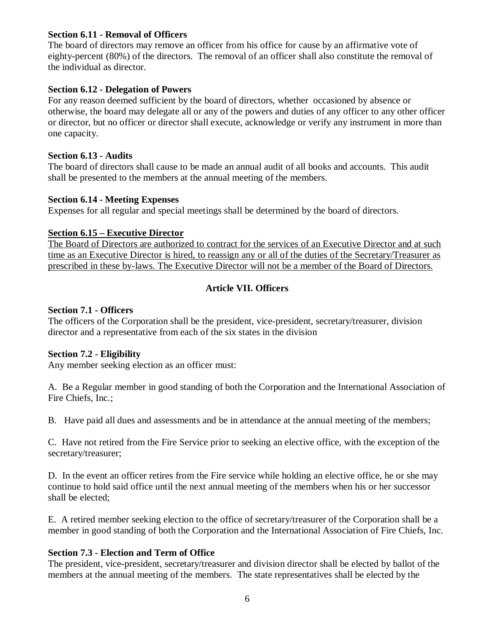#### **Section 6.11 - Removal of Officers**

The board of directors may remove an officer from his office for cause by an affirmative vote of eighty-percent (80%) of the directors. The removal of an officer shall also constitute the removal of the individual as director.

#### **Section 6.12 - Delegation of Powers**

For any reason deemed sufficient by the board of directors, whether occasioned by absence or otherwise, the board may delegate all or any of the powers and duties of any officer to any other officer or director, but no officer or director shall execute, acknowledge or verify any instrument in more than one capacity.

#### **Section 6.13 - Audits**

The board of directors shall cause to be made an annual audit of all books and accounts. This audit shall be presented to the members at the annual meeting of the members.

#### **Section 6.14 - Meeting Expenses**

Expenses for all regular and special meetings shall be determined by the board of directors.

#### **Section 6.15 – Executive Director**

The Board of Directors are authorized to contract for the services of an Executive Director and at such time as an Executive Director is hired, to reassign any or all of the duties of the Secretary/Treasurer as prescribed in these by-laws. The Executive Director will not be a member of the Board of Directors.

## **Article VII. Officers**

#### **Section 7.1 - Officers**

The officers of the Corporation shall be the president, vice-president, secretary/treasurer, division director and a representative from each of the six states in the division

#### **Section 7.2 - Eligibility**

Any member seeking election as an officer must:

A. Be a Regular member in good standing of both the Corporation and the International Association of Fire Chiefs, Inc.;

B. Have paid all dues and assessments and be in attendance at the annual meeting of the members;

C. Have not retired from the Fire Service prior to seeking an elective office, with the exception of the secretary/treasurer;

D. In the event an officer retires from the Fire service while holding an elective office, he or she may continue to hold said office until the next annual meeting of the members when his or her successor shall be elected;

E. A retired member seeking election to the office of secretary/treasurer of the Corporation shall be a member in good standing of both the Corporation and the International Association of Fire Chiefs, Inc.

## **Section 7.3 - Election and Term of Office**

The president, vice-president, secretary/treasurer and division director shall be elected by ballot of the members at the annual meeting of the members. The state representatives shall be elected by the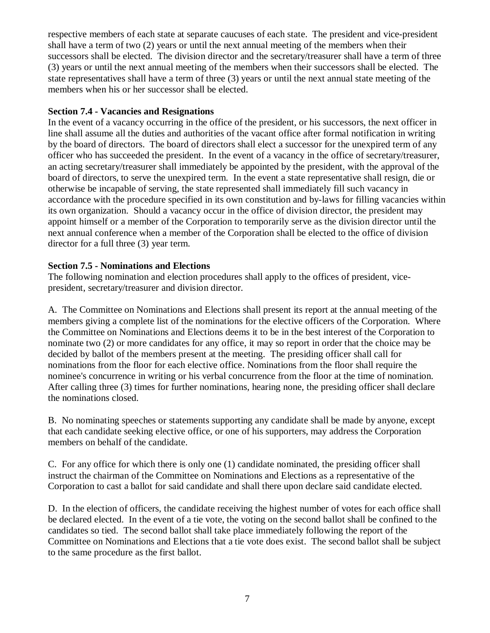respective members of each state at separate caucuses of each state. The president and vice-president shall have a term of two (2) years or until the next annual meeting of the members when their successors shall be elected. The division director and the secretary/treasurer shall have a term of three (3) years or until the next annual meeting of the members when their successors shall be elected. The state representatives shall have a term of three (3) years or until the next annual state meeting of the members when his or her successor shall be elected.

#### **Section 7.4 - Vacancies and Resignations**

In the event of a vacancy occurring in the office of the president, or his successors, the next officer in line shall assume all the duties and authorities of the vacant office after formal notification in writing by the board of directors. The board of directors shall elect a successor for the unexpired term of any officer who has succeeded the president. In the event of a vacancy in the office of secretary/treasurer, an acting secretary/treasurer shall immediately be appointed by the president, with the approval of the board of directors, to serve the unexpired term. In the event a state representative shall resign, die or otherwise be incapable of serving, the state represented shall immediately fill such vacancy in accordance with the procedure specified in its own constitution and by-laws for filling vacancies within its own organization. Should a vacancy occur in the office of division director, the president may appoint himself or a member of the Corporation to temporarily serve as the division director until the next annual conference when a member of the Corporation shall be elected to the office of division director for a full three (3) year term.

#### **Section 7.5 - Nominations and Elections**

The following nomination and election procedures shall apply to the offices of president, vicepresident, secretary/treasurer and division director.

A. The Committee on Nominations and Elections shall present its report at the annual meeting of the members giving a complete list of the nominations for the elective officers of the Corporation. Where the Committee on Nominations and Elections deems it to be in the best interest of the Corporation to nominate two (2) or more candidates for any office, it may so report in order that the choice may be decided by ballot of the members present at the meeting. The presiding officer shall call for nominations from the floor for each elective office. Nominations from the floor shall require the nominee's concurrence in writing or his verbal concurrence from the floor at the time of nomination. After calling three (3) times for further nominations, hearing none, the presiding officer shall declare the nominations closed.

B. No nominating speeches or statements supporting any candidate shall be made by anyone, except that each candidate seeking elective office, or one of his supporters, may address the Corporation members on behalf of the candidate.

C. For any office for which there is only one (1) candidate nominated, the presiding officer shall instruct the chairman of the Committee on Nominations and Elections as a representative of the Corporation to cast a ballot for said candidate and shall there upon declare said candidate elected.

D. In the election of officers, the candidate receiving the highest number of votes for each office shall be declared elected. In the event of a tie vote, the voting on the second ballot shall be confined to the candidates so tied. The second ballot shall take place immediately following the report of the Committee on Nominations and Elections that a tie vote does exist. The second ballot shall be subject to the same procedure as the first ballot.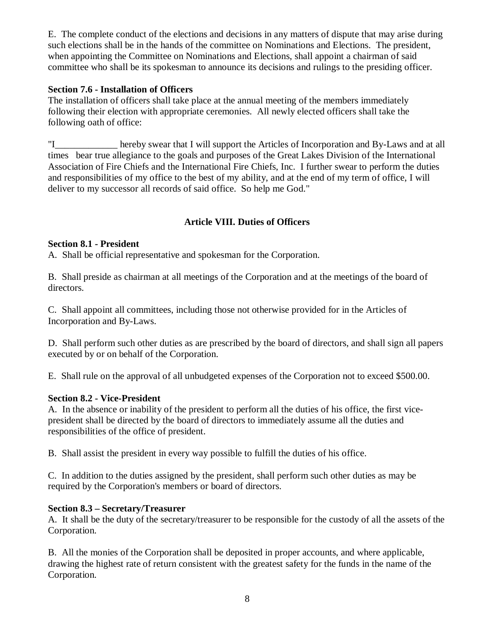E. The complete conduct of the elections and decisions in any matters of dispute that may arise during such elections shall be in the hands of the committee on Nominations and Elections. The president, when appointing the Committee on Nominations and Elections, shall appoint a chairman of said committee who shall be its spokesman to announce its decisions and rulings to the presiding officer.

## **Section 7.6 - Installation of Officers**

The installation of officers shall take place at the annual meeting of the members immediately following their election with appropriate ceremonies. All newly elected officers shall take the following oath of office:

"I\_\_\_\_\_\_\_\_\_\_\_\_\_ hereby swear that I will support the Articles of Incorporation and By-Laws and at all times bear true allegiance to the goals and purposes of the Great Lakes Division of the International Association of Fire Chiefs and the International Fire Chiefs, Inc. I further swear to perform the duties and responsibilities of my office to the best of my ability, and at the end of my term of office, I will deliver to my successor all records of said office. So help me God."

## **Article VIII. Duties of Officers**

## **Section 8.1 - President**

A. Shall be official representative and spokesman for the Corporation.

B. Shall preside as chairman at all meetings of the Corporation and at the meetings of the board of directors.

C. Shall appoint all committees, including those not otherwise provided for in the Articles of Incorporation and By-Laws.

D. Shall perform such other duties as are prescribed by the board of directors, and shall sign all papers executed by or on behalf of the Corporation.

E. Shall rule on the approval of all unbudgeted expenses of the Corporation not to exceed \$500.00.

## **Section 8.2 - Vice-President**

A. In the absence or inability of the president to perform all the duties of his office, the first vicepresident shall be directed by the board of directors to immediately assume all the duties and responsibilities of the office of president.

B. Shall assist the president in every way possible to fulfill the duties of his office.

C. In addition to the duties assigned by the president, shall perform such other duties as may be required by the Corporation's members or board of directors.

## **Section 8.3 – Secretary/Treasurer**

A. It shall be the duty of the secretary/treasurer to be responsible for the custody of all the assets of the Corporation.

B. All the monies of the Corporation shall be deposited in proper accounts, and where applicable, drawing the highest rate of return consistent with the greatest safety for the funds in the name of the Corporation.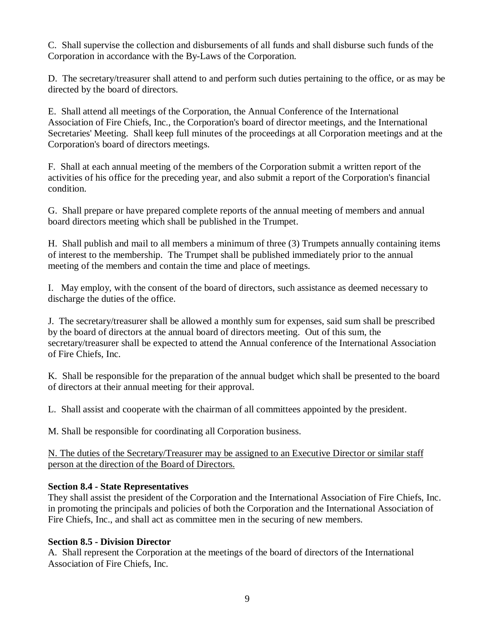C. Shall supervise the collection and disbursements of all funds and shall disburse such funds of the Corporation in accordance with the By-Laws of the Corporation.

D. The secretary/treasurer shall attend to and perform such duties pertaining to the office, or as may be directed by the board of directors.

E. Shall attend all meetings of the Corporation, the Annual Conference of the International Association of Fire Chiefs, Inc., the Corporation's board of director meetings, and the International Secretaries' Meeting. Shall keep full minutes of the proceedings at all Corporation meetings and at the Corporation's board of directors meetings.

F. Shall at each annual meeting of the members of the Corporation submit a written report of the activities of his office for the preceding year, and also submit a report of the Corporation's financial condition.

G. Shall prepare or have prepared complete reports of the annual meeting of members and annual board directors meeting which shall be published in the Trumpet.

H. Shall publish and mail to all members a minimum of three (3) Trumpets annually containing items of interest to the membership. The Trumpet shall be published immediately prior to the annual meeting of the members and contain the time and place of meetings.

I. May employ, with the consent of the board of directors, such assistance as deemed necessary to discharge the duties of the office.

J. The secretary/treasurer shall be allowed a monthly sum for expenses, said sum shall be prescribed by the board of directors at the annual board of directors meeting. Out of this sum, the secretary/treasurer shall be expected to attend the Annual conference of the International Association of Fire Chiefs, Inc.

K. Shall be responsible for the preparation of the annual budget which shall be presented to the board of directors at their annual meeting for their approval.

L. Shall assist and cooperate with the chairman of all committees appointed by the president.

M. Shall be responsible for coordinating all Corporation business.

N. The duties of the Secretary/Treasurer may be assigned to an Executive Director or similar staff person at the direction of the Board of Directors.

#### **Section 8.4 - State Representatives**

They shall assist the president of the Corporation and the International Association of Fire Chiefs, Inc. in promoting the principals and policies of both the Corporation and the International Association of Fire Chiefs, Inc., and shall act as committee men in the securing of new members.

#### **Section 8.5 - Division Director**

A. Shall represent the Corporation at the meetings of the board of directors of the International Association of Fire Chiefs, Inc.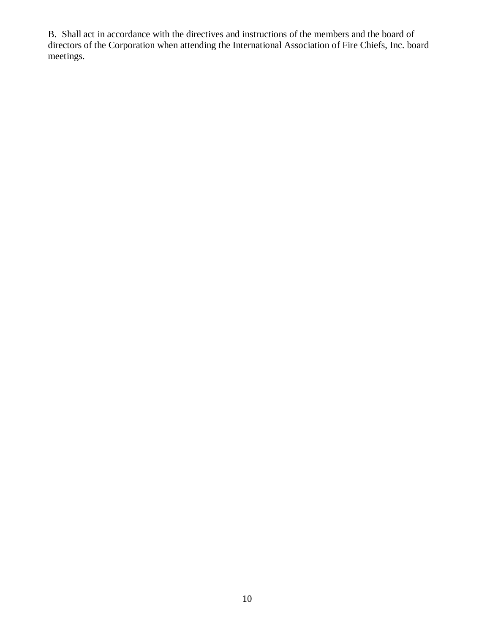B. Shall act in accordance with the directives and instructions of the members and the board of directors of the Corporation when attending the International Association of Fire Chiefs, Inc. board meetings.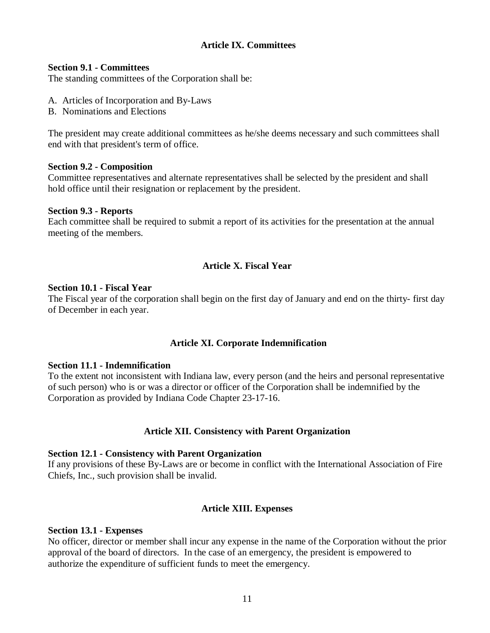## **Article IX. Committees**

#### **Section 9.1 - Committees**

The standing committees of the Corporation shall be:

- A. Articles of Incorporation and By-Laws
- B. Nominations and Elections

The president may create additional committees as he/she deems necessary and such committees shall end with that president's term of office.

## **Section 9.2 - Composition**

Committee representatives and alternate representatives shall be selected by the president and shall hold office until their resignation or replacement by the president.

#### **Section 9.3 - Reports**

Each committee shall be required to submit a report of its activities for the presentation at the annual meeting of the members.

## **Article X. Fiscal Year**

#### **Section 10.1 - Fiscal Year**

The Fiscal year of the corporation shall begin on the first day of January and end on the thirty- first day of December in each year.

## **Article XI. Corporate Indemnification**

#### **Section 11.1 - Indemnification**

To the extent not inconsistent with Indiana law, every person (and the heirs and personal representative of such person) who is or was a director or officer of the Corporation shall be indemnified by the Corporation as provided by Indiana Code Chapter 23-17-16.

## **Article XII. Consistency with Parent Organization**

#### **Section 12.1 - Consistency with Parent Organization**

If any provisions of these By-Laws are or become in conflict with the International Association of Fire Chiefs, Inc., such provision shall be invalid.

## **Article XIII. Expenses**

#### **Section 13.1 - Expenses**

No officer, director or member shall incur any expense in the name of the Corporation without the prior approval of the board of directors. In the case of an emergency, the president is empowered to authorize the expenditure of sufficient funds to meet the emergency.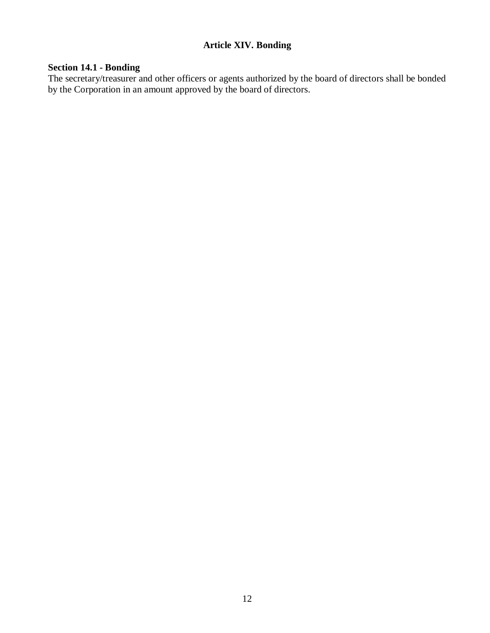## **Article XIV. Bonding**

## **Section 14.1 - Bonding**

The secretary/treasurer and other officers or agents authorized by the board of directors shall be bonded by the Corporation in an amount approved by the board of directors.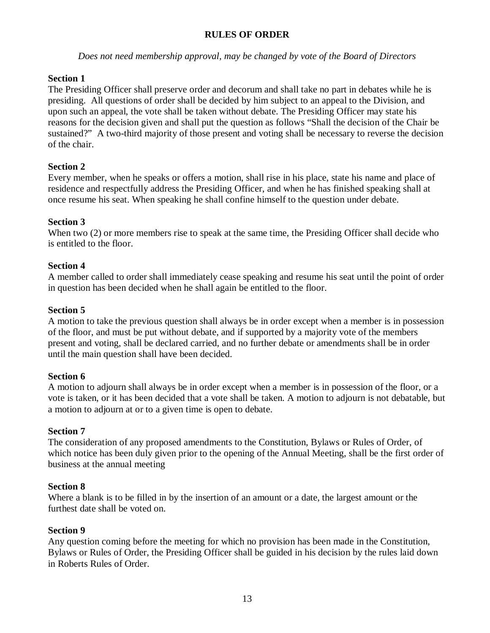## **RULES OF ORDER**

*Does not need membership approval, may be changed by vote of the Board of Directors*

## **Section 1**

The Presiding Officer shall preserve order and decorum and shall take no part in debates while he is presiding. All questions of order shall be decided by him subject to an appeal to the Division, and upon such an appeal, the vote shall be taken without debate. The Presiding Officer may state his reasons for the decision given and shall put the question as follows "Shall the decision of the Chair be sustained?" A two-third majority of those present and voting shall be necessary to reverse the decision of the chair.

## **Section 2**

Every member, when he speaks or offers a motion, shall rise in his place, state his name and place of residence and respectfully address the Presiding Officer, and when he has finished speaking shall at once resume his seat. When speaking he shall confine himself to the question under debate.

## **Section 3**

When two (2) or more members rise to speak at the same time, the Presiding Officer shall decide who is entitled to the floor.

## **Section 4**

A member called to order shall immediately cease speaking and resume his seat until the point of order in question has been decided when he shall again be entitled to the floor.

## **Section 5**

A motion to take the previous question shall always be in order except when a member is in possession of the floor, and must be put without debate, and if supported by a majority vote of the members present and voting, shall be declared carried, and no further debate or amendments shall be in order until the main question shall have been decided.

## **Section 6**

A motion to adjourn shall always be in order except when a member is in possession of the floor, or a vote is taken, or it has been decided that a vote shall be taken. A motion to adjourn is not debatable, but a motion to adjourn at or to a given time is open to debate.

## **Section 7**

The consideration of any proposed amendments to the Constitution, Bylaws or Rules of Order, of which notice has been duly given prior to the opening of the Annual Meeting, shall be the first order of business at the annual meeting

## **Section 8**

Where a blank is to be filled in by the insertion of an amount or a date, the largest amount or the furthest date shall be voted on.

## **Section 9**

Any question coming before the meeting for which no provision has been made in the Constitution, Bylaws or Rules of Order, the Presiding Officer shall be guided in his decision by the rules laid down in Roberts Rules of Order.